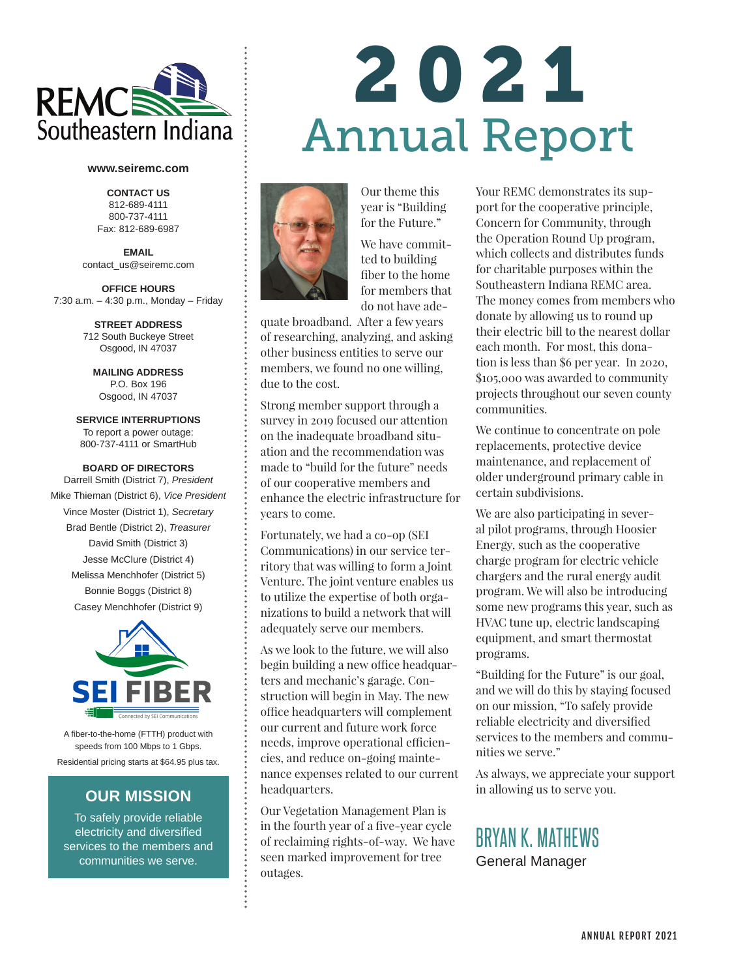

#### **www.seiremc.com**

**CONTACT US** 812-689-4111 800-737-4111 Fax: 812-689-6987

**EMAIL** contact\_us@seiremc.com

**OFFICE HOURS**  7:30 a.m. – 4:30 p.m., Monday – Friday

> **STREET ADDRESS**  712 South Buckeye Street Osgood, IN 47037

**MAILING ADDRESS** P.O. Box 196 Osgood, IN 47037

**SERVICE INTERRUPTIONS** To report a power outage: 800-737-4111 or SmartHub

### **BOARD OF DIRECTORS**

Darrell Smith (District 7), *President* Mike Thieman (District 6), *Vice President* Vince Moster (District 1), *Secretary* Brad Bentle (District 2), *Treasurer* David Smith (District 3) Jesse McClure (District 4) Melissa Menchhofer (District 5) Bonnie Boggs (District 8) Casey Menchhofer (District 9)



A fiber-to-the-home (FTTH) product with speeds from 100 Mbps to 1 Gbps. Residential pricing starts at \$64.95 plus tax.

### **OUR MISSION**

To safely provide reliable electricity and diversified services to the members and communities we serve.

# 2021 Annual Report



for the Future." We have committed to building fiber to the home for members that do not have ade-

Our theme this year is "Building

quate broadband. After a few years of researching, analyzing, and asking other business entities to serve our members, we found no one willing, due to the cost.

Strong member support through a survey in 2019 focused our attention on the inadequate broadband situation and the recommendation was made to "build for the future" needs of our cooperative members and enhance the electric infrastructure for years to come.

Fortunately, we had a co-op (SEI Communications) in our service territory that was willing to form a Joint Venture. The joint venture enables us to utilize the expertise of both organizations to build a network that will adequately serve our members.

As we look to the future, we will also begin building a new office headquarters and mechanic's garage. Construction will begin in May. The new office headquarters will complement our current and future work force needs, improve operational efficiencies, and reduce on-going maintenance expenses related to our current headquarters.

Our Vegetation Management Plan is in the fourth year of a five-year cycle of reclaiming rights-of-way. We have seen marked improvement for tree outages.

Your REMC demonstrates its support for the cooperative principle, Concern for Community, through the Operation Round Up program, which collects and distributes funds for charitable purposes within the Southeastern Indiana REMC area. The money comes from members who donate by allowing us to round up their electric bill to the nearest dollar each month. For most, this donation is less than \$6 per year. In 2020, \$105,000 was awarded to community projects throughout our seven county communities.

We continue to concentrate on pole replacements, protective device maintenance, and replacement of older underground primary cable in certain subdivisions.

We are also participating in several pilot programs, through Hoosier Energy, such as the cooperative charge program for electric vehicle chargers and the rural energy audit program. We will also be introducing some new programs this year, such as HVAC tune up, electric landscaping equipment, and smart thermostat programs.

"Building for the Future" is our goal, and we will do this by staying focused on our mission, "To safely provide reliable electricity and diversified services to the members and communities we serve."

As always, we appreciate your support in allowing us to serve you.

## BRYAN K. MATHEWS General Manager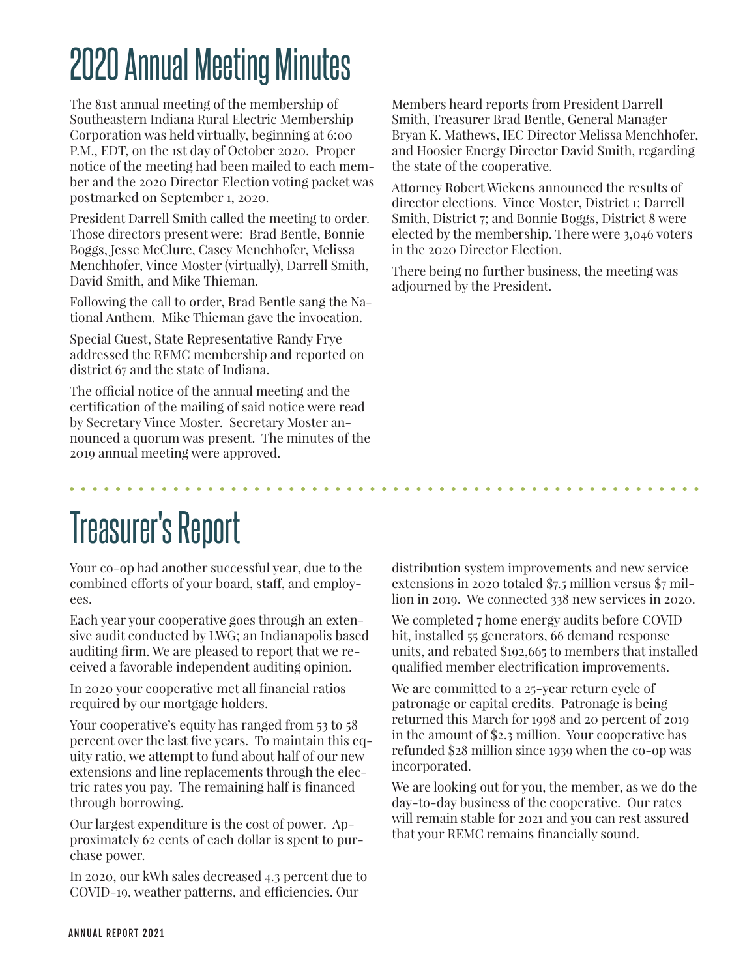## 2020 Annual Meeting Minutes

The 81st annual meeting of the membership of Southeastern Indiana Rural Electric Membership Corporation was held virtually, beginning at 6:00 P.M., EDT, on the 1st day of October 2020. Proper notice of the meeting had been mailed to each member and the 2020 Director Election voting packet was postmarked on September 1, 2020.

President Darrell Smith called the meeting to order. Those directors present were: Brad Bentle, Bonnie Boggs, Jesse McClure, Casey Menchhofer, Melissa Menchhofer, Vince Moster (virtually), Darrell Smith, David Smith, and Mike Thieman.

Following the call to order, Brad Bentle sang the National Anthem. Mike Thieman gave the invocation.

Special Guest, State Representative Randy Frye addressed the REMC membership and reported on district 67 and the state of Indiana.

The official notice of the annual meeting and the certification of the mailing of said notice were read by Secretary Vince Moster. Secretary Moster announced a quorum was present. The minutes of the 2019 annual meeting were approved.

Members heard reports from President Darrell Smith, Treasurer Brad Bentle, General Manager Bryan K. Mathews, IEC Director Melissa Menchhofer, and Hoosier Energy Director David Smith, regarding the state of the cooperative.

Attorney Robert Wickens announced the results of director elections. Vince Moster, District 1; Darrell Smith, District 7; and Bonnie Boggs, District 8 were elected by the membership. There were 3,046 voters in the 2020 Director Election.

There being no further business, the meeting was adjourned by the President.

## Treasurer's Report

Your co-op had another successful year, due to the combined efforts of your board, staff, and employees.

Each year your cooperative goes through an extensive audit conducted by LWG; an Indianapolis based auditing firm. We are pleased to report that we received a favorable independent auditing opinion.

In 2020 your cooperative met all financial ratios required by our mortgage holders.

Your cooperative's equity has ranged from 53 to 58 percent over the last five years. To maintain this equity ratio, we attempt to fund about half of our new extensions and line replacements through the electric rates you pay. The remaining half is financed through borrowing.

Our largest expenditure is the cost of power. Approximately 62 cents of each dollar is spent to purchase power.

In 2020, our kWh sales decreased 4.3 percent due to COVID-19, weather patterns, and efficiencies. Our

distribution system improvements and new service extensions in 2020 totaled \$7.5 million versus \$7 million in 2019. We connected 338 new services in 2020.

We completed 7 home energy audits before COVID hit, installed 55 generators, 66 demand response units, and rebated \$192,665 to members that installed qualified member electrification improvements.

We are committed to a 25-year return cycle of patronage or capital credits. Patronage is being returned this March for 1998 and 20 percent of 2019 in the amount of \$2.3 million. Your cooperative has refunded \$28 million since 1939 when the co-op was incorporated.

We are looking out for you, the member, as we do the day-to-day business of the cooperative. Our rates will remain stable for 2021 and you can rest assured that your REMC remains financially sound.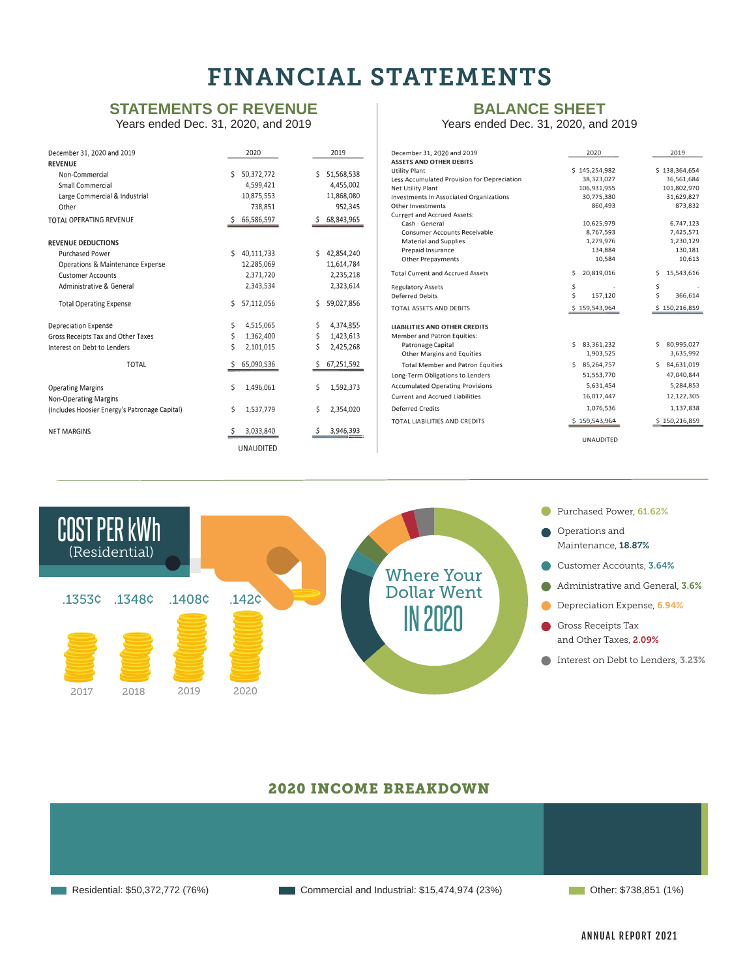## FINANCIAL STATEMENTS

### **STATEMENTS OF REVENUE**

Years ended Dec. 31, 2020, and 2019

| December 31, 2020 and 2019                               | 2020             | 2019             |
|----------------------------------------------------------|------------------|------------------|
| <b>REVENUE</b>                                           |                  |                  |
| Non-Commercial                                           | Ś<br>50,372,772  | 51,568,538<br>Ś. |
| Small Commercial                                         | 4,599,421        | 4,455,002        |
| Large Commercial & Industrial                            | 10,875,553       | 11,868,080       |
| Other                                                    | 738,851          | 952.345          |
| <b>TOTAL OPERATING REVENUE</b>                           | 66,586,597<br>Ś. | 68,843,965       |
| <b>REVENUE DEDUCTIONS</b>                                |                  |                  |
| <b>Purchased Power</b>                                   | Ś<br>40,111,733  | Ś.<br>42,854,240 |
| Operations & Maintenance Expense                         | 12,285,069       | 11,614,784       |
| <b>Customer Accounts</b>                                 | 2,371,720        | 2,235,218        |
| Administrative & General                                 | 2,343,534        | 2,323,614        |
| <b>Total Operating Expense</b>                           | \$<br>57,112,056 | 59,027,856<br>Ś. |
| <b>Depreciation Expense</b>                              | \$<br>4,515,065  | \$<br>4,374,855  |
| Gross Receipts Tax and Other Taxes                       | \$<br>1,362,400  | \$<br>1,423,613  |
| Interest on Debt to Lenders                              | Ś<br>2,101,015   | Ś<br>2,425,268   |
| <b>TOTAL</b>                                             | 65,090,536<br>Ś  | 67,251,592<br>S  |
| <b>Operating Margins</b><br><b>Non-Operating Margins</b> | \$<br>1,496,061  | Ś<br>1,592,373   |
| (Includes Hoosier Energy's Patronage Capital)            | \$<br>1,537,779  | \$<br>2,354,020  |
| <b>NFT MARGINS</b>                                       | 3,033,840        | 3,946,393        |
|                                                          | <b>UNAUDITED</b> |                  |

## **BALANCE SHEET**

Years ended Dec. 31, 2020, and 2019

| December 31, 2020 and 2019                     | 2020             | 2019             |
|------------------------------------------------|------------------|------------------|
| <b>ASSETS AND OTHER DEBITS</b>                 |                  |                  |
| <b>Utility Plant</b>                           | \$145,254,982    | \$138,364,654    |
| Less Accumulated Provision for Depreciation    | 38,323,027       | 36,561,684       |
| Net Utility Plant                              | 106,931,955      | 101,802,970      |
| <b>Investments in Associated Organizations</b> | 30,775,380       | 31,629,827       |
| Other Investments                              | 860,493          | 873,832          |
| <b>Current and Accrued Assets:</b>             |                  |                  |
| Cash - General                                 | 10.625.979       | 6,747,123        |
| <b>Consumer Accounts Receivable</b>            | 8.767.593        | 7.425.571        |
| <b>Material and Supplies</b>                   | 1,279,976        | 1,230,129        |
| Prepaid Insurance                              | 134,884          | 130,181          |
| <b>Other Prepayments</b>                       | 10.584           | 10,613           |
| <b>Total Current and Accrued Assets</b>        | Ś<br>20,819,016  | 15,543,616<br>Ś. |
| <b>Regulatory Assets</b>                       | \$               | \$               |
| <b>Deferred Debits</b>                         | Ś<br>157,120     | \$<br>366,614    |
| TOTAL ASSETS AND DEBITS                        | \$159,543,964    | \$150,216,859    |
| <b>LIABILITIES AND OTHER CREDITS</b>           |                  |                  |
| Member and Patron Equities:                    |                  |                  |
| Patronage Capital                              | 83,361,232<br>Ŝ. | 80.995.027<br>Ś. |
| Other Margins and Equities                     | 1,903,525        | 3,635,992        |
| <b>Total Member and Patron Equities</b>        | 85,264,757<br>Š. | 84.631.019<br>Ś. |
| Long-Term Obligations to Lenders               | 51,553,770       | 47.040.844       |
| <b>Accumulated Operating Provisions</b>        | 5,631,454        | 5,284,853        |
| <b>Current and Accrued Liabilities</b>         | 16,017,447       | 12,122,305       |
| <b>Deferred Credits</b>                        | 1,076,536        | 1,137,838        |
| TOTAL LIABILITIES AND CREDITS                  | \$159,543,964    | \$150,216,859    |
|                                                | <b>UNAUDITED</b> |                  |



### 2020 INCOME BREAKDOWN